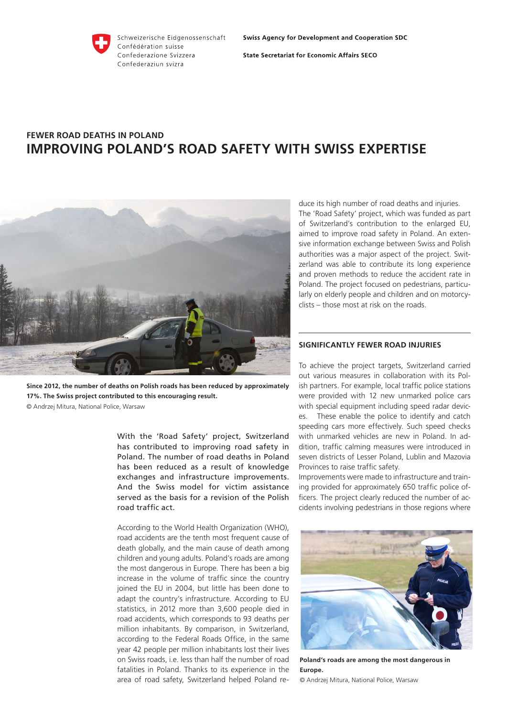

Schweizerische Eidgenossenschaft Confédération suisse Confederazione Svizzera Confederaziun svizra

**State Secretariat for Economic Affairs SECO** 

# **FEWER ROAD DEATHS IN POLAND IMPROVING POLAND'S ROAD SAFETY WITH SWISS EXPERTISE**



**Since 2012, the number of deaths on Polish roads has been reduced by approximately 17%. The Swiss project contributed to this encouraging result.** © Andrzej Mitura, National Police, Warsaw

With the 'Road Safety' project, Switzerland has contributed to improving road safety in Poland. The number of road deaths in Poland has been reduced as a result of knowledge exchanges and infrastructure improvements. And the Swiss model for victim assistance served as the basis for a revision of the Polish road traffic act.

According to the World Health Organization (WHO), road accidents are the tenth most frequent cause of death globally, and the main cause of death among children and young adults. Poland's roads are among the most dangerous in Europe. There has been a big increase in the volume of traffic since the country joined the EU in 2004, but little has been done to adapt the country's infrastructure. According to EU statistics, in 2012 more than 3,600 people died in road accidents, which corresponds to 93 deaths per million inhabitants. By comparison, in Switzerland, according to the Federal Roads Office, in the same year 42 people per million inhabitants lost their lives on Swiss roads, i.e. less than half the number of road fatalities in Poland. Thanks to its experience in the area of road safety, Switzerland helped Poland reduce its high number of road deaths and injuries. The 'Road Safety' project, which was funded as part of Switzerland's contribution to the enlarged EU, aimed to improve road safety in Poland. An extensive information exchange between Swiss and Polish authorities was a major aspect of the project. Switzerland was able to contribute its long experience and proven methods to reduce the accident rate in Poland. The project focused on pedestrians, particularly on elderly people and children and on motorcyclists – those most at risk on the roads.

## **SIGNIFICANTLY FEWER ROAD INJURIES**

To achieve the project targets, Switzerland carried out various measures in collaboration with its Polish partners. For example, local traffic police stations were provided with 12 new unmarked police cars with special equipment including speed radar devices. These enable the police to identify and catch speeding cars more effectively. Such speed checks with unmarked vehicles are new in Poland. In addition, traffic calming measures were introduced in seven districts of Lesser Poland, Lublin and Mazovia Provinces to raise traffic safety.

Improvements were made to infrastructure and training provided for approximately 650 traffic police officers. The project clearly reduced the number of accidents involving pedestrians in those regions where



**Poland's roads are among the most dangerous in Europe.** 

© Andrzej Mitura, National Police, Warsaw